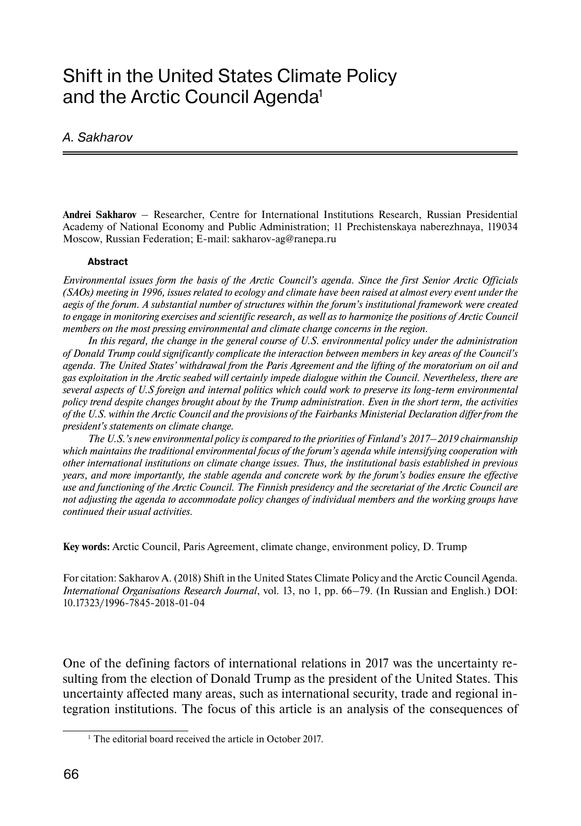# Shift in the United States Climate Policy and the Arctic Council Agenda<sup>1</sup>

#### A. Sakharov

**Andrei Sakharov** – Researcher, Centre for International Institutions Research, Russian Presidential Academy of National Economy and Public Administration; 11 Prechistenskaya naberezhnaya, 119034 Moscow, Russian Federation; E-mail: sakharov-ag@ranepa.ru

#### **Abstract**

*Environmental issues form the basis of the Arctic Council's agenda. Since the first Senior Arctic Officials (SAOs) meeting in 1996, issues related to ecology and climate have been raised at almost every event under the aegis of the forum. A substantial number of structures within the forum's institutional framework were created to engage in monitoring exercises and scientific research, as well as to harmonize the positions of Arctic Council members on the most pressing environmental and climate change concerns in the region.*

*In this regard, the change in the general course of U.S. environmental policy under the administration of Donald Trump could significantly complicate the interaction between members in key areas of the Council's agenda. The United States' withdrawal from the Paris Agreement and the lifting of the moratorium on oil and gas exploitation in the Arctic seabed will certainly impede dialogue within the Council. Nevertheless, there are several aspects of U.S foreign and internal politics which could work to preserve its long-term environmental policy trend despite changes brought about by the Trump administration. Even in the short term, the activities of the U.S. within the Arctic Council and the provisions of the Fairbanks Ministerial Declaration differ from the president's statements on climate change.*

*The U.S.'s new environmental policy is compared to the priorities of Finland's 2017–2019 chairmanship which maintains the traditional environmental focus of the forum's agenda while intensifying cooperation with other international institutions on climate change issues. Thus, the institutional basis established in previous years, and more importantly, the stable agenda and concrete work by the forum's bodies ensure the effective use and functioning of the Arctic Council. The Finnish presidency and the secretariat of the Arctic Council are not adjusting the agenda to accommodate policy changes of individual members and the working groups have continued their usual activities.*

**Key words:** Arctic Council, Paris Agreement, climate change, environment policy, D. Trump

For citation: Sakharov A. (2018) Shift in the United States Climate Policy and the Arctic Council Agenda. *International Organisations Research Journal*, vol. 13, no 1, pp. 66–79. (In Russian and English.) DOI: 10.17323/1996-7845-2018-01-04

One of the defining factors of international relations in 2017 was the uncertainty resulting from the election of Donald Trump as the president of the United States. This uncertainty affected many areas, such as international security, trade and regional integration institutions. The focus of this article is an analysis of the consequences of

<sup>&</sup>lt;sup>1</sup> The editorial board received the article in October 2017.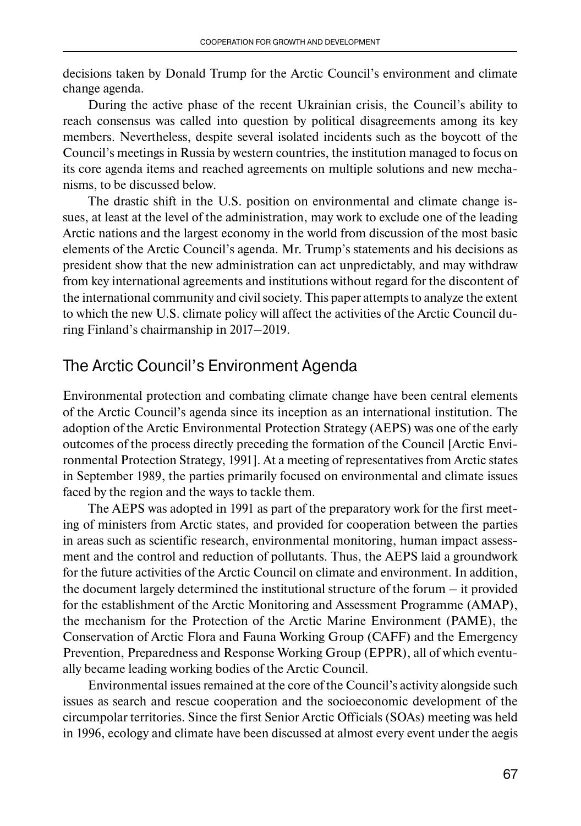decisions taken by Donald Trump for the Arctic Council's environment and climate change agenda.

During the active phase of the recent Ukrainian crisis, the Council's ability to reach consensus was called into question by political disagreements among its key members. Nevertheless, despite several isolated incidents such as the boycott of the Council's meetings in Russia by western countries, the institution managed to focus on its core agenda items and reached agreements on multiple solutions and new mechanisms, to be discussed below.

The drastic shift in the U.S. position on environmental and climate change issues, at least at the level of the administration, may work to exclude one of the leading Arctic nations and the largest economy in the world from discussion of the most basic elements of the Arctic Council's agenda. Mr. Trump's statements and his decisions as president show that the new administration can act unpredictably, and may withdraw from key international agreements and institutions without regard for the discontent of the international community and civil society. This paper attempts to analyze the extent to which the new U.S. climate policy will affect the activities of the Arctic Council during Finland's chairmanship in 2017–2019.

### The Arctic Council's Environment Agenda

Environmental protection and combating climate change have been central elements of the Arctic Council's agenda since its inception as an international institution. The adoption of the Arctic Environmental Protection Strategy (AEPS) was one of the early outcomes of the process directly preceding the formation of the Council [Arctic Environmental Protection Strategy, 1991]. At a meeting of representatives from Arctic states in September 1989, the parties primarily focused on environmental and climate issues faced by the region and the ways to tackle them.

The AEPS was adopted in 1991 as part of the preparatory work for the first meeting of ministers from Arctic states, and provided for cooperation between the parties in areas such as scientific research, environmental monitoring, human impact assessment and the control and reduction of pollutants. Thus, the AEPS laid a groundwork for the future activities of the Arctic Council on climate and environment. In addition, the document largely determined the institutional structure of the forum – it provided for the establishment of the Arctic Monitoring and Assessment Programme (AMAP), the mechanism for the Protection of the Arctic Marine Environment (PAME), the Conservation of Arctic Flora and Fauna Working Group (CAFF) and the Emergency Prevention, Preparedness and Response Working Group (EPPR), all of which eventually became leading working bodies of the Arctic Council.

Environmental issues remained at the core of the Council's activity alongside such issues as search and rescue cooperation and the socioeconomic development of the circumpolar territories. Since the first Senior Arctic Officials (SOAs) meeting was held in 1996, ecology and climate have been discussed at almost every event under the aegis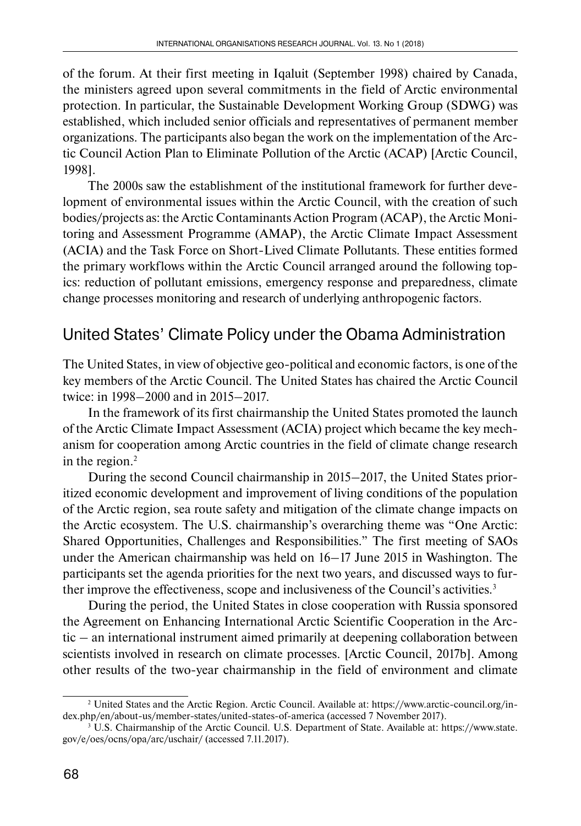of the forum. At their first meeting in Iqaluit (September 1998) chaired by Canada, the ministers agreed upon several commitments in the field of Arctic environmental protection. In particular, the Sustainable Development Working Group (SDWG) was established, which included senior officials and representatives of permanent member organizations. The participants also began the work on the implementation of the Arctic Council Action Plan to Eliminate Pollution of the Arctic (ACAP) [Arctic Council, 1998].

The 2000s saw the establishment of the institutional framework for further development of environmental issues within the Arctic Council, with the creation of such bodies/projects as: the Arctic Contaminants Action Program (ACAP), the Arctic Moni toring and Assessment Programme (AMAP), the Arctic Climate Impact Assessment (ACIA) and the Task Force on Short-Lived Climate Pollutants. These entities formed the primary workflows within the Arctic Council arranged around the following topics: reduction of pollutant emissions, emergency response and preparedness, climate change processes monitoring and research of underlying anthropogenic factors.

## United States' Climate Policy under the Obama Administration

The United States, in view of objective geo-political and economic factors, is one of the key members of the Arctic Council. The United States has chaired the Arctic Council twice: in 1998–2000 and in 2015–2017.

In the framework of its first chairmanship the United States promoted the launch of the Arctic Climate Impact Assessment (ACIA) project which became the key mechanism for cooperation among Arctic countries in the field of climate change research in the region.<sup>2</sup>

During the second Council chairmanship in 2015–2017, the United States prioritized economic development and improvement of living conditions of the population of the Arctic region, sea route safety and mitigation of the climate change impacts on the Arctic ecosystem. The U.S. chairmanship's overarching theme was "One Arctic: Shared Opportunities, Challenges and Responsibilities." The first meeting of SAOs under the American chairmanship was held on 16–17 June 2015 in Washington. The participants set the agenda priorities for the next two years, and discussed ways to further improve the effectiveness, scope and inclusiveness of the Council's activities.3

During the period, the United States in close cooperation with Russia sponsored the Agreement on Enhancing International Arctic Scientific Cooperation in the Arctic – an international instrument aimed primarily at deepening collaboration between scientists involved in research on climate processes. [Arctic Council, 2017b]. Among other results of the two-year chairmanship in the field of environment and climate

<sup>2</sup> United States and the Arctic Region. Arctic Council. Available at: https://www.arctic-council.org/index.php/en/about-us/member-states/united-states-of-america (accessed 7 November 2017).

<sup>3</sup> U.S. Chairmanship of the Arctic Council. U.S. Department of State. Available at: https://www.state. gov/e/oes/ocns/opa/arc/uschair/ (accessed 7.11.2017).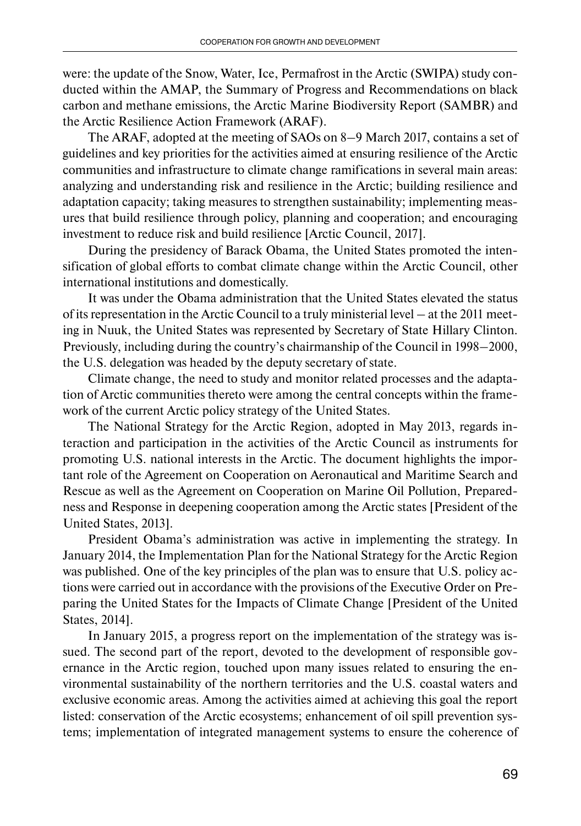were: the update of the Snow, Water, Ice, Permafrost in the Arctic (SWIPA) study conducted within the AMAP, the Summary of Progress and Recommendations on black carbon and methane emissions, the Arctic Marine Biodiversity Report (SAMBR) and the Arctic Resilience Action Framework (ARAF).

The ARAF, adopted at the meeting of SAOs on 8–9 March 2017, contains a set of guidelines and key priorities for the activities aimed at ensuring resilience of the Arctic communities and infrastructure to climate change ramifications in several main areas: analyzing and understanding risk and resilience in the Arctic; building resilience and adaptation capacity; taking measures to strengthen sustainability; implementing measures that build resilience through policy, planning and cooperation; and encouraging investment to reduce risk and build resilience [Arctic Council, 2017].

During the presidency of Barack Obama, the United States promoted the intensification of global efforts to combat climate change within the Arctic Council, other international institutions and domestically.

It was under the Obama administration that the United States elevated the status of its representation in the Arctic Council to a truly ministerial level – at the 2011 meeting in Nuuk, the United States was represented by Secretary of State Hillary Clinton. Previously, including during the country's chairmanship of the Council in 1998–2000, the U.S. delegation was headed by the deputy secretary of state.

Climate change, the need to study and monitor related processes and the adaptation of Arctic communities thereto were among the central concepts within the framework of the current Arctic policy strategy of the United States.

The National Strategy for the Arctic Region, adopted in May 2013, regards interaction and participation in the activities of the Arctic Council as instruments for promoting U.S. national interests in the Arctic. The document highlights the important role of the Agreement on Cooperation on Aeronautical and Maritime Search and Rescue as well as the Agreement on Cooperation on Marine Oil Pollution, Preparedness and Response in deepening cooperation among the Arctic states [President of the United States, 2013].

President Obama's administration was active in implementing the strategy. In January 2014, the Implementation Plan for the National Strategy for the Arctic Region was published. One of the key principles of the plan was to ensure that U.S. policy actions were carried out in accordance with the provisions of the Executive Order on Preparing the United States for the Impacts of Climate Change [President of the United States, 2014].

In January 2015, a progress report on the implementation of the strategy was issued. The second part of the report, devoted to the development of responsible governance in the Arctic region, touched upon many issues related to ensuring the environmental sustainability of the northern territories and the U.S. coastal waters and exclusive economic areas. Among the activities aimed at achieving this goal the report listed: conservation of the Arctic ecosystems; enhancement of oil spill prevention systems; implementation of integrated management systems to ensure the coherence of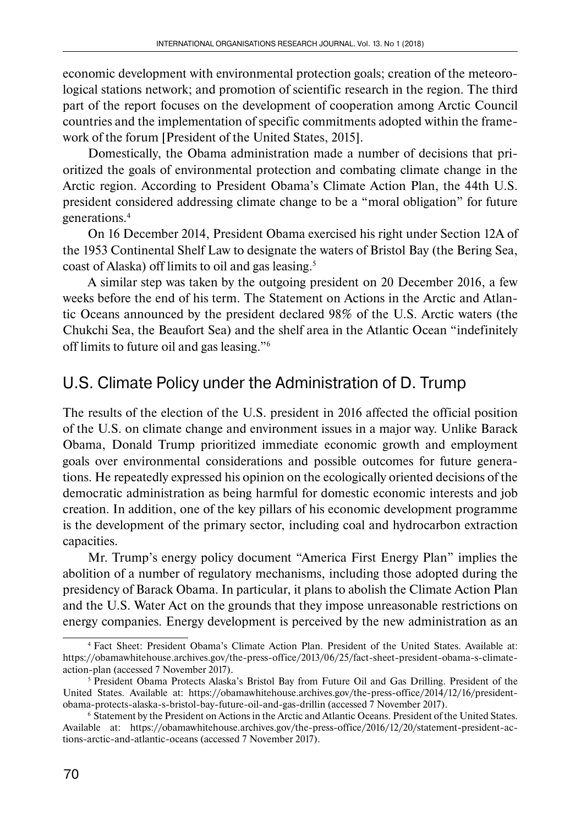economic development with environmental protection goals; creation of the meteorological stations network; and promotion of scientific research in the region. The third part of the report focuses on the development of cooperation among Arctic Council countries and the implementation of specific commitments adopted within the framework of the forum [President of the United States, 2015].

Domestically, the Obama administration made a number of decisions that prioritized the goals of environmental protection and combating climate change in the Arctic region. According to President Obama's Climate Action Plan, the 44th U.S. president considered addressing climate change to be a "moral obligation" for future generations.4

On 16 December 2014, President Obama exercised his right under Section 12A of the 1953 Continental Shelf Law to designate the waters of Bristol Bay (the Bering Sea, coast of Alaska) off limits to oil and gas leasing.5

A similar step was taken by the outgoing president on 20 December 2016, a few weeks before the end of his term. The Statement on Actions in the Arctic and Atlantic Oceans announced by the president declared 98% of the U.S. Arctic waters (the Chukchi Sea, the Beaufort Sea) and the shelf area in the Atlantic Ocean "indefinitely off limits to future oil and gas leasing."6

## U.S. Climate Policy under the Administration of D. Trump

The results of the election of the U.S. president in 2016 affected the official position of the U.S. on climate change and environment issues in a major way. Unlike Barack Obama, Donald Trump prioritized immediate economic growth and employment goals over environmental considerations and possible outcomes for future generations. He repeatedly expressed his opinion on the ecologically oriented decisions of the democratic administration as being harmful for domestic economic interests and job creation. In addition, one of the key pillars of his economic development programme is the development of the primary sector, including coal and hydrocarbon extraction capacities.

Mr. Trump's energy policy document "America First Energy Plan" implies the abolition of a number of regulatory mechanisms, including those adopted during the presidency of Barack Obama. In particular, it plans to abolish the Climate Action Plan and the U.S. Water Act on the grounds that they impose unreasonable restrictions on energy companies. Energy development is perceived by the new administration as an

<sup>4</sup> Fact Sheet: President Obama's Climate Action Plan. President of the United States. Available at: https://obamawhitehouse.archives.gov/the-press-office/2013/06/25/fact-sheet-president-obama-s-climateaction-plan (accessed 7 November 2017).

<sup>5</sup> President Obama Protects Alaska's Bristol Bay from Future Oil and Gas Drilling. President of the United States. Available at: https://obamawhitehouse.archives.gov/the-press-office/2014/12/16/presidentobama-protects-alaska-s-bristol-bay-future-oil-and-gas-drillin (accessed 7 November 2017).

<sup>6</sup> Statement by the President on Actions in the Arctic and Atlantic Oceans. President of the United States. Available at: https://obamawhitehouse.archives.gov/the-press-office/2016/12/20/statement-president-actions-arctic-and-atlantic-oceans (accessed 7 November 2017).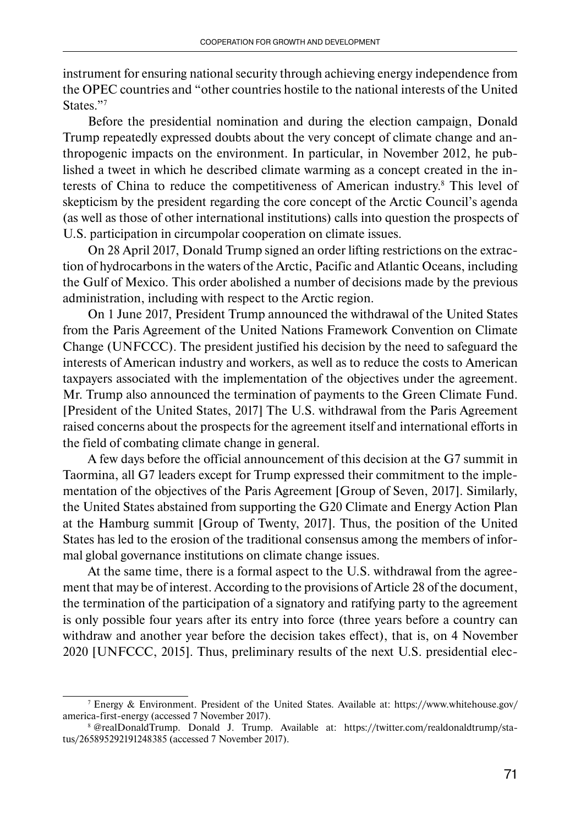instrument for ensuring national security through achieving energy independence from the OPEC countries and "other countries hostile to the national interests of the United States."7

Before the presidential nomination and during the election campaign, Donald Trump repeatedly expressed doubts about the very concept of climate change and anthropogenic impacts on the environment. In particular, in November 2012, he published a tweet in which he described climate warming as a concept created in the interests of China to reduce the competitiveness of American industry.<sup>8</sup> This level of skepticism by the president regarding the core concept of the Arctic Council's agenda (as well as those of other international institutions) calls into question the prospects of U.S. participation in circumpolar cooperation on climate issues.

On 28 April 2017, Donald Trump signed an order lifting restrictions on the extraction of hydrocarbons in the waters of the Arctic, Pacific and Atlantic Oceans, including the Gulf of Mexico. This order abolished a number of decisions made by the previous administration, including with respect to the Arctic region.

On 1 June 2017, President Trump announced the withdrawal of the United States from the Paris Agreement of the United Nations Framework Convention on Climate Change (UNFCCC). The president justified his decision by the need to safeguard the interests of American industry and workers, as well as to reduce the costs to American taxpayers associated with the implementation of the objectives under the agreement. Mr. Trump also announced the termination of payments to the Green Climate Fund. [President of the United States, 2017] The U.S. withdrawal from the Paris Agreement raised concerns about the prospects for the agreement itself and international efforts in the field of combating climate change in general.

A few days before the official announcement of this decision at the G7 summit in Taormina, all G7 leaders except for Trump expressed their commitment to the implementation of the objectives of the Paris Agreement [Group of Seven, 2017]. Similarly, the United States abstained from supporting the G20 Climate and Energy Action Plan at the Hamburg summit [Group of Twenty, 2017]. Thus, the position of the United States has led to the erosion of the traditional consensus among the members of informal global governance institutions on climate change issues.

At the same time, there is a formal aspect to the U.S. withdrawal from the agreement that may be of interest. According to the provisions of Article 28 of the document, the termination of the participation of a signatory and ratifying party to the agreement is only possible four years after its entry into force (three years before a country can withdraw and another year before the decision takes effect), that is, on 4 November 2020 [UNFCCC, 2015]. Thus, preliminary results of the next U.S. presidential elec-

<sup>7</sup> Energy & Environment. President of the United States. Available at: https://www.whitehouse.gov/ america-first-energy (accessed 7 November 2017).

<sup>8 @</sup>realDonaldTrump. Donald J. Trump. Available at: https://twitter.com/realdonaldtrump/status/265895292191248385 (accessed 7 November 2017).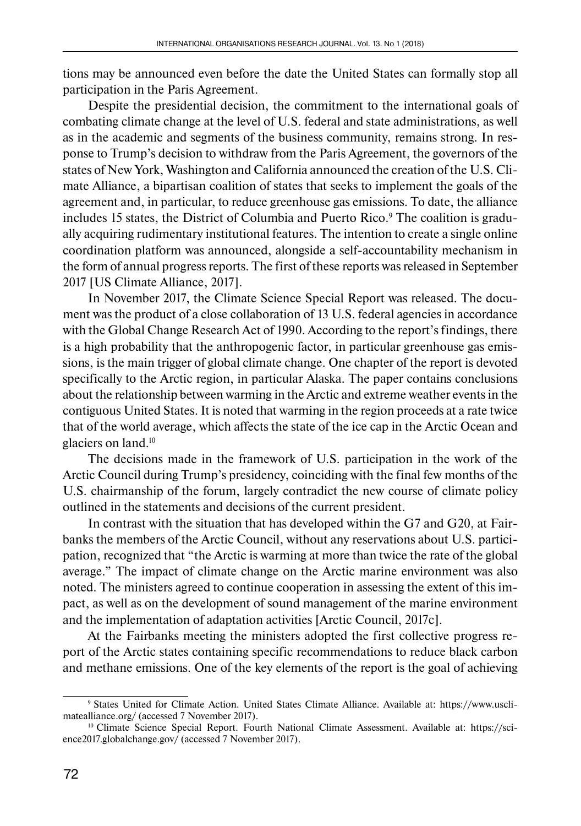tions may be announced even before the date the United States can formally stop all participation in the Paris Agreement.

Despite the presidential decision, the commitment to the international goals of combating climate change at the level of U.S. federal and state administrations, as well as in the academic and segments of the business community, remains strong. In response to Trump's decision to withdraw from the Paris Agreement, the governors of the states of New York, Washington and California announced the creation of the U.S. Climate Alliance, a bipartisan coalition of states that seeks to implement the goals of the agreement and, in particular, to reduce greenhouse gas emissions. To date, the alliance includes 15 states, the District of Columbia and Puerto Rico.9 The coalition is gradually acquiring rudimentary institutional features. The intention to create a single online coordination platform was announced, alongside a self-accountability mechanism in the form of annual progress reports. The first of these reports was released in September 2017 [US Climate Alliance, 2017].

In November 2017, the Climate Science Special Report was released. The document was the product of a close collaboration of 13 U.S. federal agencies in accordance with the Global Change Research Act of 1990. According to the report's findings, there is a high probability that the anthropogenic factor, in particular greenhouse gas emissions, is the main trigger of global climate change. One chapter of the report is devoted specifically to the Arctic region, in particular Alaska. The paper contains conclusions about the relationship between warming in the Arctic and extreme weather events in the contiguous United States. It is noted that warming in the region proceeds at a rate twice that of the world average, which affects the state of the ice cap in the Arctic Ocean and glaciers on land.10

The decisions made in the framework of U.S. participation in the work of the Arctic Council during Trump's presidency, coinciding with the final few months of the U.S. chairmanship of the forum, largely contradict the new course of climate policy outlined in the statements and decisions of the current president.

In contrast with the situation that has developed within the G7 and G20, at Fairbanks the members of the Arctic Council, without any reservations about U.S. participation, recognized that "the Arctic is warming at more than twice the rate of the global average." The impact of climate change on the Arctic marine environment was also noted. The ministers agreed to continue cooperation in assessing the extent of this impact, as well as on the development of sound management of the marine environment and the implementation of adaptation activities [Arctic Council, 2017c].

At the Fairbanks meeting the ministers adopted the first collective progress report of the Arctic states containing specific recommendations to reduce black carbon and methane emissions. One of the key elements of the report is the goal of achieving

<sup>9</sup> States United for Climate Action. United States Climate Alliance. Available at: https://www.usclimatealliance.org/ (accessed 7 November 2017).

<sup>&</sup>lt;sup>10</sup> Climate Science Special Report. Fourth National Climate Assessment. Available at: https://science2017.globalchange.gov/ (accessed 7 November 2017).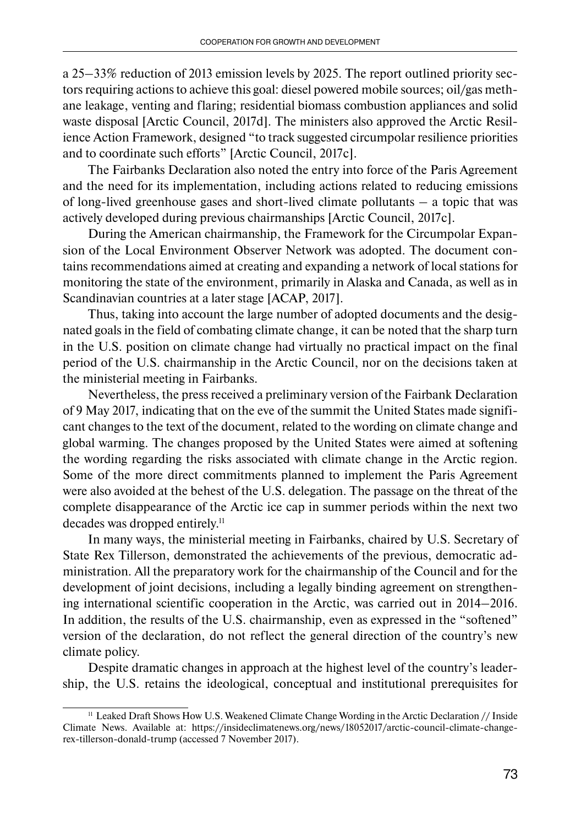a 25–33% reduction of 2013 emission levels by 2025. The report outlined priority sectors requiring actions to achieve this goal: diesel powered mobile sources; oil/gas methane leakage, venting and flaring; residential biomass combustion appliances and solid waste disposal [Arctic Council, 2017d]. The ministers also approved the Arctic Resilience Action Framework, designed "to track suggested circumpolar resilience priorities and to coordinate such efforts" [Arctic Council, 2017c].

The Fairbanks Declaration also noted the entry into force of the Paris Agreement and the need for its implementation, including actions related to reducing emissions of long-lived greenhouse gases and short-lived climate pollutants – a topic that was actively developed during previous chairmanships [Arctic Council, 2017c].

During the American chairmanship, the Framework for the Circumpolar Expansion of the Local Environment Observer Network was adopted. The document contains recommendations aimed at creating and expanding a network of local stations for monitoring the state of the environment, primarily in Alaska and Canada, as well as in Scandinavian countries at a later stage [ACAP, 2017].

Thus, taking into account the large number of adopted documents and the designated goals in the field of combating climate change, it can be noted that the sharp turn in the U.S. position on climate change had virtually no practical impact on the final period of the U.S. chairmanship in the Arctic Council, nor on the decisions taken at the ministerial meeting in Fairbanks.

Nevertheless, the press received a preliminary version of the Fairbank Declaration of 9 May 2017, indicating that on the eve of the summit the United States made significant changes to the text of the document, related to the wording on climate change and global warming. The changes proposed by the United States were aimed at softening the wording regarding the risks associated with climate change in the Arctic region. Some of the more direct commitments planned to implement the Paris Agreement were also avoided at the behest of the U.S. delegation. The passage on the threat of the complete disappearance of the Arctic ice cap in summer periods within the next two decades was dropped entirely.<sup>11</sup>

In many ways, the ministerial meeting in Fairbanks, chaired by U.S. Secretary of State Rex Tillerson, demonstrated the achievements of the previous, democratic administration. All the preparatory work for the chairmanship of the Council and for the development of joint decisions, including a legally binding agreement on strengthening international scientific cooperation in the Arctic, was carried out in 2014–2016. In addition, the results of the U.S. chairmanship, even as expressed in the "softened" version of the declaration, do not reflect the general direction of the country's new climate policy.

Despite dramatic changes in approach at the highest level of the country's leadership, the U.S. retains the ideological, conceptual and institutional prerequisites for

<sup>11</sup> Leaked Draft Shows How U.S. Weakened Climate Change Wording in the Arctic Declaration // Inside Climate News. Available at: https://insideclimatenews.org/news/18052017/arctic-council-climate-changerex-tillerson-donald-trump (accessed 7 November 2017).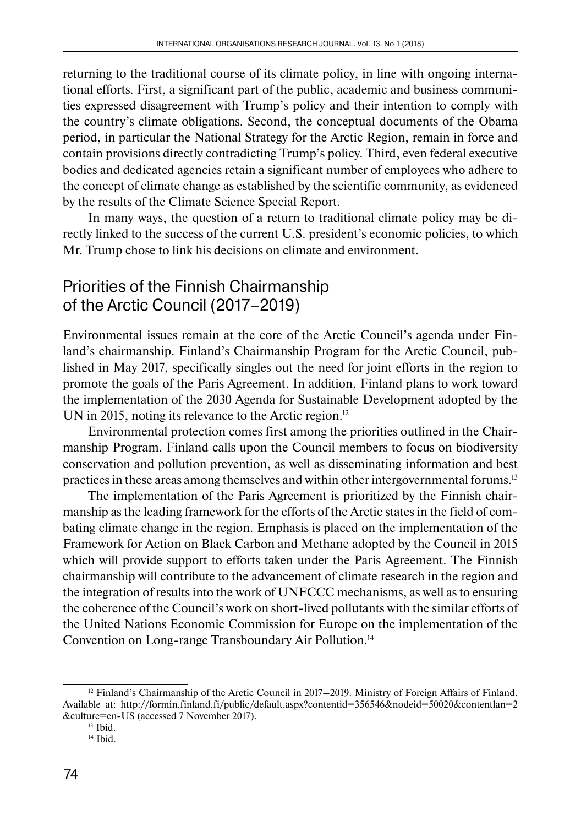returning to the traditional course of its climate policy, in line with ongoing international efforts. First, a significant part of the public, academic and business communities expressed disagreement with Trump's policy and their intention to comply with the country's climate obligations. Second, the conceptual documents of the Obama period, in particular the National Strategy for the Arctic Region, remain in force and contain provisions directly contradicting Trump's policy. Third, even federal executive bodies and dedicated agencies retain a significant number of employees who adhere to the concept of climate change as established by the scientific community, as evidenced by the results of the Climate Science Special Report.

In many ways, the question of a return to traditional climate policy may be directly linked to the success of the current U.S. president's economic policies, to which Mr. Trump chose to link his decisions on climate and environment.

## Priorities of the Finnish Chairmanship of the Arctic Council (2017–2019)

Environmental issues remain at the core of the Arctic Council's agenda under Finland's chairmanship. Finland's Chairmanship Program for the Arctic Council, published in May 2017, specifically singles out the need for joint efforts in the region to promote the goals of the Paris Agreement. In addition, Finland plans to work toward the implementation of the 2030 Agenda for Sustainable Development adopted by the UN in 2015, noting its relevance to the Arctic region.<sup>12</sup>

Environmental protection comes first among the priorities outlined in the Chairmanship Program. Finland calls upon the Council members to focus on biodiversity conservation and pollution prevention, as well as disseminating information and best practices in these areas among themselves and within other intergovernmental forums.13

The implementation of the Paris Agreement is prioritized by the Finnish chairmanship as the leading framework for the efforts of the Arctic states in the field of combating climate change in the region. Emphasis is placed on the implementation of the Framework for Action on Black Carbon and Methane adopted by the Council in 2015 which will provide support to efforts taken under the Paris Agreement. The Finnish chairmanship will contribute to the advancement of climate research in the region and the integration of results into the work of UNFCCC mechanisms, as well as to ensuring the coherence of the Council's work on short-lived pollutants with the similar efforts of the United Nations Economic Commission for Europe on the implementation of the Convention on Long-range Transboundary Air Pollution.14

 $12$  Finland's Chairmanship of the Arctic Council in 2017–2019. Ministry of Foreign Affairs of Finland. Available at: http://formin.finland.fi/public/default.aspx?contentid=356546&nodeid=50020&contentlan=2 &culture=en-US (accessed 7 November 2017).

 $13$  Ibid.

<sup>&</sup>lt;sup>14</sup> Ibid.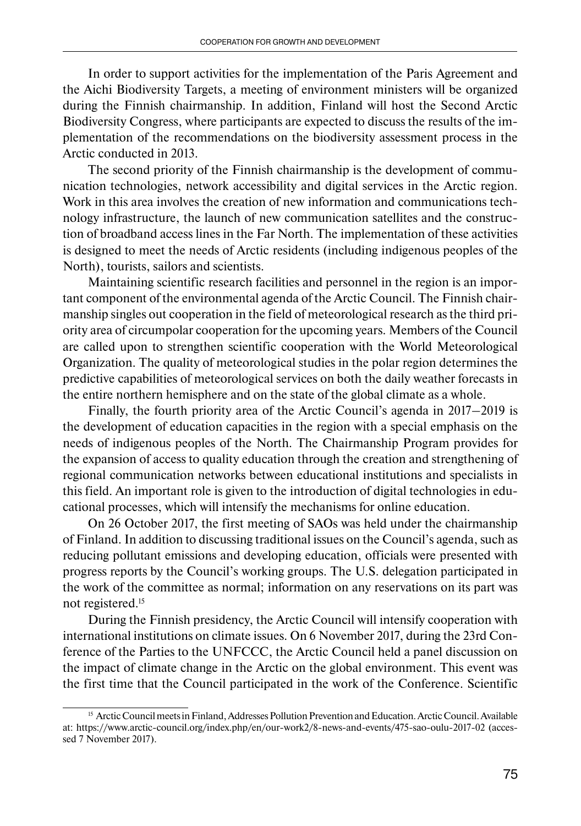In order to support activities for the implementation of the Paris Agreement and the Aichi Biodiversity Targets, a meeting of environment ministers will be organized during the Finnish chairmanship. In addition, Finland will host the Second Arctic Biodiversity Congress, where participants are expected to discuss the results of the implementation of the recommendations on the biodiversity assessment process in the Arctic conducted in 2013.

The second priority of the Finnish chairmanship is the development of communication technologies, network accessibility and digital services in the Arctic region. Work in this area involves the creation of new information and communications technology infrastructure, the launch of new communication satellites and the construction of broadband access lines in the Far North. The implementation of these activities is designed to meet the needs of Arctic residents (including indigenous peoples of the North), tourists, sailors and scientists.

Maintaining scientific research facilities and personnel in the region is an important component of the environmental agenda of the Arctic Council. The Finnish chairmanship singles out cooperation in the field of meteorological research as the third priority area of circumpolar cooperation for the upcoming years. Members of the Council are called upon to strengthen scientific cooperation with the World Meteorological Organization. The quality of meteorological studies in the polar region determines the predictive capabilities of meteorological services on both the daily weather forecasts in the entire northern hemisphere and on the state of the global climate as a whole.

Finally, the fourth priority area of the Arctic Council's agenda in 2017–2019 is the development of education capacities in the region with a special emphasis on the needs of indigenous peoples of the North. The Chairmanship Program provides for the expansion of access to quality education through the creation and strengthening of regional communication networks between educational institutions and specialists in this field. An important role is given to the introduction of digital technologies in educational processes, which will intensify the mechanisms for online education.

On 26 October 2017, the first meeting of SAOs was held under the chairmanship of Finland. In addition to discussing traditional issues on the Council's agenda, such as reducing pollutant emissions and developing education, officials were presented with progress reports by the Council's working groups. The U.S. delegation participated in the work of the committee as normal; information on any reservations on its part was not registered.15

During the Finnish presidency, the Arctic Council will intensify cooperation with international institutions on climate issues. On 6 November 2017, during the 23rd Conference of the Parties to the UNFCCC, the Arctic Council held a panel discussion on the impact of climate change in the Arctic on the global environment. This event was the first time that the Council participated in the work of the Conference. Scientific

<sup>&</sup>lt;sup>15</sup> Arctic Council meets in Finland, Addresses Pollution Prevention and Education. Arctic Council. Available at: https://www.arctic-council.org/index.php/en/our-work2/8-news-and-events/475-sao-oulu-2017-02 (accessed 7 November 2017).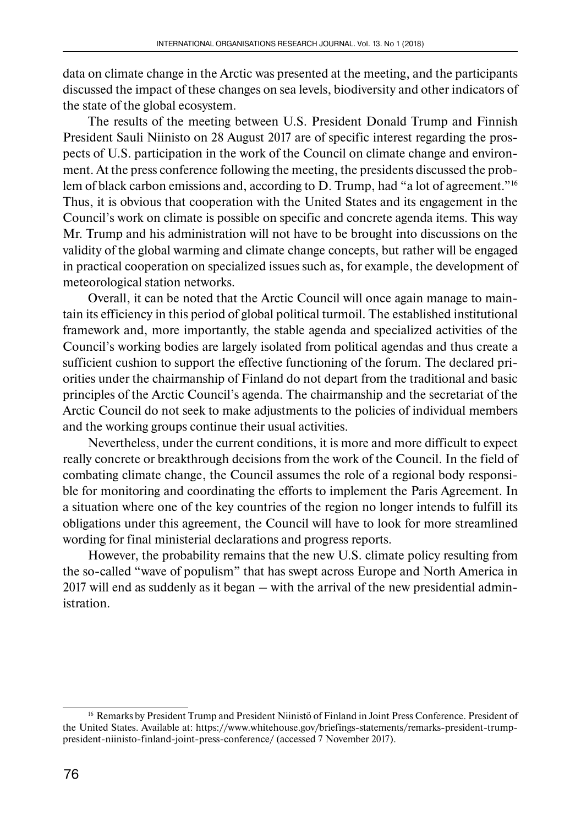data on climate change in the Arctic was presented at the meeting, and the participants discussed the impact of these changes on sea levels, biodiversity and other indicators of the state of the global ecosystem.

The results of the meeting between U.S. President Donald Trump and Finnish President Sauli Niinisto on 28 August 2017 are of specific interest regarding the prospects of U.S. participation in the work of the Council on climate change and environment. At the press conference following the meeting, the presidents discussed the problem of black carbon emissions and, according to D. Trump, had "a lot of agreement."<sup>16</sup> Thus, it is obvious that cooperation with the United States and its engagement in the Council's work on climate is possible on specific and concrete agenda items. This way Mr. Trump and his administration will not have to be brought into discussions on the validity of the global warming and climate change concepts, but rather will be engaged in practical cooperation on specialized issues such as, for example, the development of meteorological station networks.

Overall, it can be noted that the Arctic Council will once again manage to maintain its efficiency in this period of global political turmoil. The established institutional framework and, more importantly, the stable agenda and specialized activities of the Council's working bodies are largely isolated from political agendas and thus create a sufficient cushion to support the effective functioning of the forum. The declared priorities under the chairmanship of Finland do not depart from the traditional and basic principles of the Arctic Council's agenda. The chairmanship and the secretariat of the Arctic Council do not seek to make adjustments to the policies of individual members and the working groups continue their usual activities.

Nevertheless, under the current conditions, it is more and more difficult to expect really concrete or breakthrough decisions from the work of the Council. In the field of combating climate change, the Council assumes the role of a regional body responsible for monitoring and coordinating the efforts to implement the Paris Agreement. In a situation where one of the key countries of the region no longer intends to fulfill its obligations under this agreement, the Council will have to look for more streamlined wording for final ministerial declarations and progress reports.

However, the probability remains that the new U.S. climate policy resulting from the so-called "wave of populism" that has swept across Europe and North America in 2017 will end as suddenly as it began – with the arrival of the new presidential administration.

<sup>16</sup> Remarks by President Trump and President Niinistö of Finland in Joint Press Conference. President of the United States. Available at: https://www.whitehouse.gov/briefings-statements/remarks-president-trumppresident-niinisto-finland-joint-press-conference/ (accessed 7 November 2017).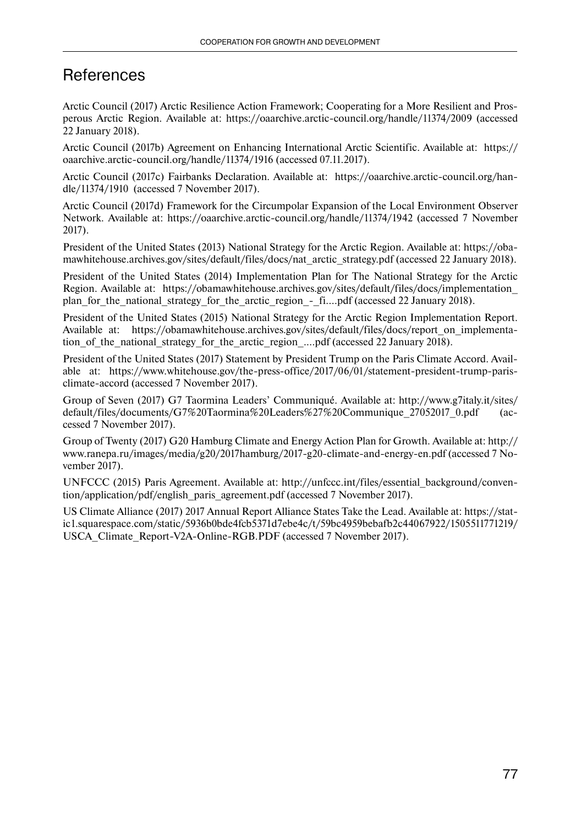#### **References**

Arctic Council (2017) Arctic Resilience Action Framework; Cooperating for a More Resilient and Prosperous Arctic Region. Available at: https://oaarchive.arctic-council.org/handle/11374/2009 (accessed 22 January 2018).

Arctic Council (2017b) Agreement on Enhancing International Arctic Scientific. Available at: https:// oaarchive.arctic-council.org/handle/11374/1916 (accessed 07.11.2017).

Arctic Council (2017c) Fairbanks Declaration. Available at: https://oaarchive.arctic-council.org/handle/11374/1910 (accessed 7 November 2017).

Arctic Council (2017d) Framework for the Circumpolar Expansion of the Local Environment Observer Network. Available at: https://oaarchive.arctic-council.org/handle/11374/1942 (accessed 7 November 2017).

President of the United States (2013) National Strategy for the Arctic Region. Available at: https://obamawhitehouse.archives.gov/sites/default/files/docs/nat\_arctic\_strategy.pdf (accessed 22 January 2018).

President of the United States (2014) Implementation Plan for The National Strategy for the Arctic Region. Available at: https://obamawhitehouse.archives.gov/sites/default/files/docs/implementation\_ plan for the national strategy for the arctic region - fi....pdf (accessed 22 January 2018).

President of the United States (2015) National Strategy for the Arctic Region Implementation Report. Available at: https://obamawhitehouse.archives.gov/sites/default/files/docs/report\_on\_implementation of the national strategy for the arctic region ....pdf (accessed 22 January 2018).

President of the United States (2017) Statement by President Trump on the Paris Climate Accord. Available at: https://www.whitehouse.gov/the-press-office/2017/06/01/statement-president-trump-parisclimate-accord (accessed 7 November 2017).

Group of Seven (2017) G7 Taormina Leaders' Communiqué. Available at: http://www.g7italy.it/sites/ default/files/documents/G7%20Taormina%20Leaders%27%20Communique\_27052017\_0.pdf (accessed 7 November 2017).

Group of Twenty (2017) G20 Hamburg Climate and Energy Action Plan for Growth. Available at: http:// www.ranepa.ru/images/media/g20/2017hamburg/2017-g20-climate-and-energy-en.pdf (accessed 7 November 2017).

UNFCCC (2015) Paris Agreement. Available at: http://unfccc.int/files/essential\_background/convention/application/pdf/english\_paris\_agreement.pdf (accessed 7 November 2017).

US Climate Alliance (2017) 2017 Annual Report Alliance States Take the Lead. Available at: https://static1.squarespace.com/static/5936b0bde4fcb5371d7ebe4c/t/59bc4959bebafb2c44067922/1505511771219/ USCA\_Climate\_Report-V2A-Online-RGB.PDF (accessed 7 November 2017).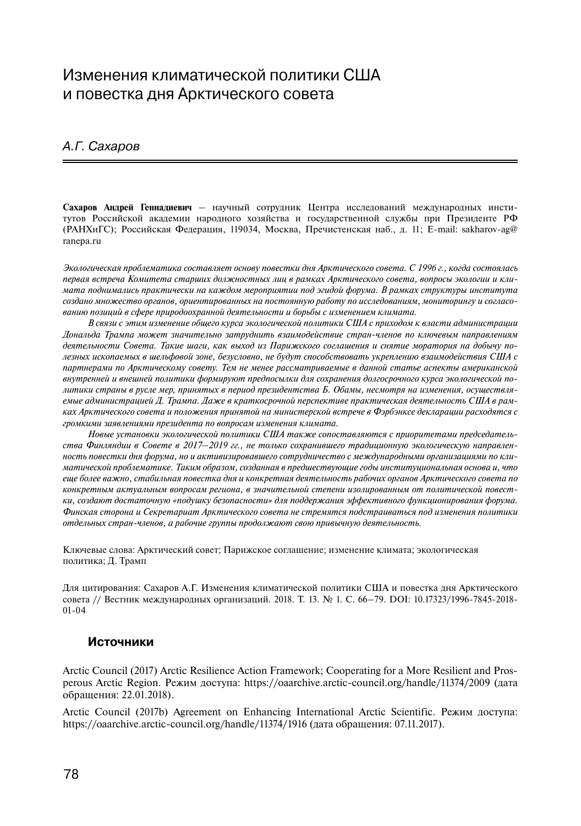### Изменения климатической политики США и повестка дня Арктического совета

#### А.Г. Сахаров

**Сахаров Андрей Геннадиевич** – научный сотрудник Центра исследований международных институтов Российской академии народного хозяйства и государственной службы при Президенте РФ (РАНХиГС); Российская Федерация, 119034, Москва, Пречистенская наб., д. 11; E-mail: sakharov-ag@ ranepa.ru

*Экологическая проблематика составляет основу повестки дня Арктического совета. С 1996 г., когда состоялась первая встреча Комитета старших должностных лиц в рамках Арктического совета, вопросы экологии и климата поднимались практически на каждом мероприятии под эгидой форума. В рамках структуры института создано множество органов, ориентированных на постоянную работу по исследованиям, мониторингу и согласованию позиций в сфере природоохранной деятельности и борьбы с изменением климата.*

*В связи с этим изменение общего курса экологической политики США с приходом к власти администрации Дональда Трампа может значительно затруднить взаимодействие стран-членов по ключевым направлениям деятельности Совета. Такие шаги, как выход из Парижского соглашения и снятие моратория на добычу полезных ископаемых в шельфовой зоне, безусловно, не будут способствовать укреплению взаимодействия США с партнерами по Арктическому совету. Тем не менее рассматриваемые в данной статье аспекты американской внутренней и внешней политики формируют предпосылки для сохранения долгосрочного курса экологической политики страны в русле мер, принятых в период президентства Б. Обамы, несмотря на изменения, осуществляемые администрацией Д. Трампа. Даже в краткосрочной перспективе практическая деятельность США в рамках Арктического совета и положения принятой на министерской встрече в Фэрбэнксе декларации расходятся с громкими заявлениями президента по вопросам изменения климата.*

*Новые установки экологической политики США также сопоставляются с приоритетами председательства Финляндии в Совете в 2017–2019 гг., не только сохранившего традиционную экологическую направленность повестки дня форума, но и активизировавшего сотрудничество с международными организациями по климатической проблематике. Таким образом, созданная в предшествующие годы институциональная основа и, что еще более важно, стабильная повестка дня и конкретная деятельность рабочих органов Арктического совета по конкретным актуальным вопросам региона, в значительной степени изолированным от политической повестки, создают достаточную «подушку безопасности» для поддержания эффективного функционирования форума. Финская сторона и Секретариат Арктического совета не стремятся подстраиваться под изменения политики отдельных стран-членов, а рабочие группы продолжают свою привычную деятельность.* 

Ключевые слова: Арктический совет; Парижское соглашение; изменение климата; экологическая политика; Д. Трамп

Для цитирования: Сахаров А.Г. Изменения климатической политики США и повестка дня Арктического совета // Вестник международных организаций. 2018. Т. 13. № 1. С. 66–79. DOI: 10.17323/1996-7845-2018- 01-04

#### **Источники**

Arctic Council (2017) Arctic Resilience Action Framework; Cooperating for a More Resilient and Prosperous Arctic Region. Режим доступа: https://oaarchive.arctic-council.org/handle/11374/2009 (дата обращения: 22.01.2018).

Arctic Council (2017b) Agreement on Enhancing International Arctic Scientific. Режим доступа: https://oaarchive.arctic-council.org/handle/11374/1916 (дата обращения: 07.11.2017).